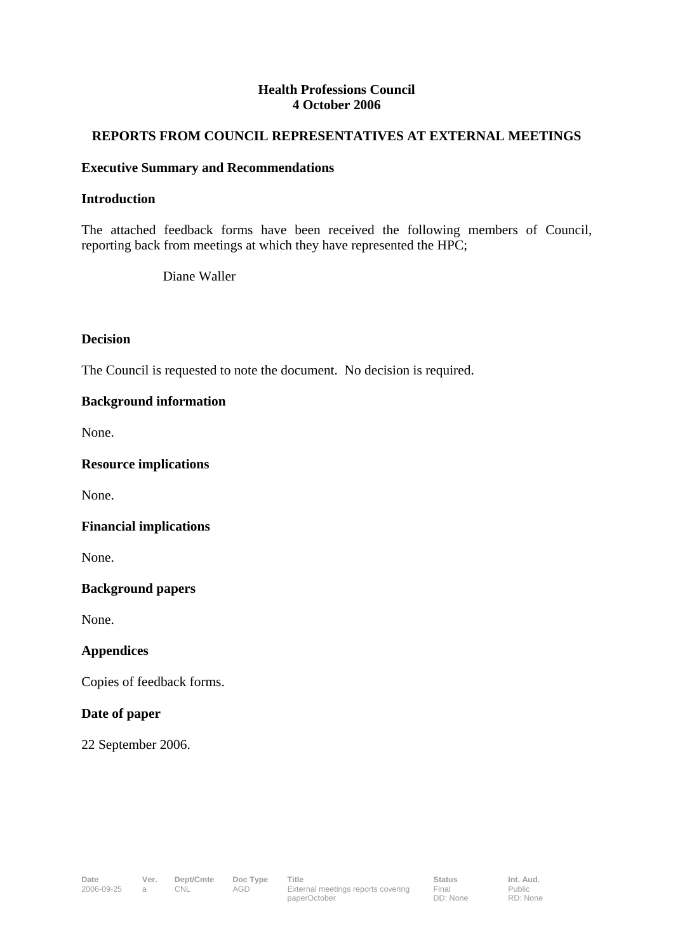## **Health Professions Council 4 October 2006**

# **REPORTS FROM COUNCIL REPRESENTATIVES AT EXTERNAL MEETINGS**

## **Executive Summary and Recommendations**

## **Introduction**

The attached feedback forms have been received the following members of Council, reporting back from meetings at which they have represented the HPC;

Diane Waller

#### **Decision**

The Council is requested to note the document. No decision is required.

# **Background information**

None.

#### **Resource implications**

None.

#### **Financial implications**

None.

# **Background papers**

None.

# **Appendices**

Copies of feedback forms.

## **Date of paper**

22 September 2006.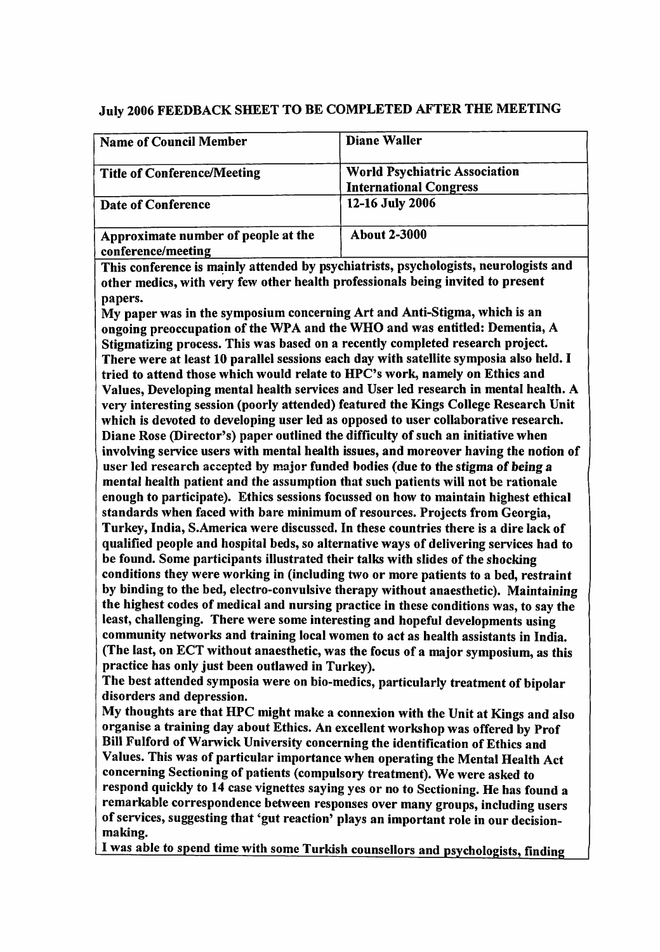# July 2006 FEEDBACK SHEET TO BE COMPLETED AFTER THE MEETING

| <b>Name of Council Member</b>                             | <b>Diane Waller</b>                                                   |  |
|-----------------------------------------------------------|-----------------------------------------------------------------------|--|
| <b>Title of Conference/Meeting</b>                        | <b>World Psychiatric Association</b><br><b>International Congress</b> |  |
| Date of Conference                                        | 12-16 July 2006                                                       |  |
| Approximate number of people at the<br>conference/meeting | <b>About 2-3000</b>                                                   |  |

This conference is mainly attended by psychiatrists, psychologists, neurologists and other medics, with very few other health professionals being invited to present papers.

My paper was in the symposium concerning Art and Anti-Stigma, which is an ongoing preoccupation of the WPA and the WHO and was entitled: Dementia, A Stigmatizing process. This was based on a recently completed research project. There were at least 10 parallel sessions each day with satellite symposia also held. I tried to attend those which would relate to HPC's work, namely on Ethics and Values, Developing mental health services and User led research in mental health. A very interesting session (poorly attended) featured the Kings College Research Unit which is devoted to developing user led as opposed to user collaborative research. Diane Rose (Director's) paper outlined the difficulty of such an initiative when involving service users with mental health issues, and moreover having the notion of user led research accepted by major funded bodies (due to the stigma of being a mental health patient and the assumption that such patients will not be rationale enough to participate). Ethics sessions focussed on how to maintain highest ethical standards when faced with bare minimum of resources. Projects from Georgia, Turkey, India, S.America were discussed. In these countries there is a dire lack of qualified people and hospital beds, so alternative ways of delivering services had to be found. Some participants illustrated their talks with slides of the shocking conditions they were working in (including two or more patients to a bed, restraint by binding to the bed, electro-convulsive therapy without anaesthetic). Maintaining the highest codes of medical and nursing practice in these conditions was, to say the least, challenging. There were some interesting and hopeful developments using community networks and training local women to act as health assistants in India. (The last, on ECT without anaesthetic, was the focus of a major symposium, as this practice has only just been outlawed in Turkey).

The best attended symposia were on bio-medics, particularly treatment of bipolar disorders and depression.

My thoughts are that HPC might make a connexion with the Unit at Kings and also organise a training day about Ethics. An excellent workshop was offered by Prof Bill Fulford of Warwick University concerning the identification of Ethics and Values. This was of particular importance when operating the Mental Health Act concerning Sectioning of patients (compulsory treatment). We were asked to respond quickly to 14 case vignettes saying yes or no to Sectioning. He has found a remarkable correspondence between responses over many groups, including users of services, suggesting that 'gut reaction' plays an important role in our decisionmaking.

I was able to spend time with some Turkish counsellors and psychologists, finding